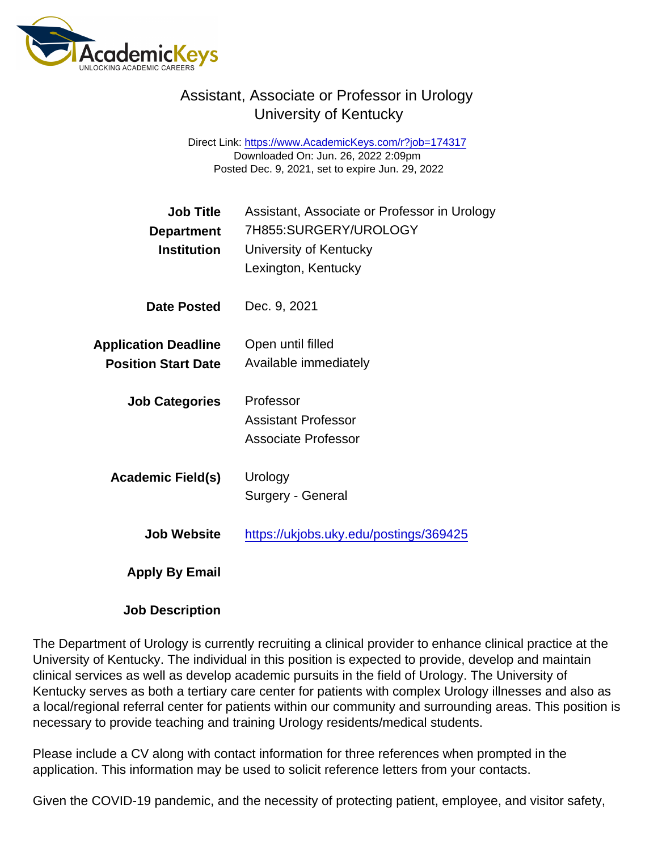## Assistant, Associate or Professor in Urology University of Kentucky

Direct Link: <https://www.AcademicKeys.com/r?job=174317> Downloaded On: Jun. 26, 2022 2:09pm Posted Dec. 9, 2021, set to expire Jun. 29, 2022

| Job Title<br>Department<br>Institution                    | Assistant, Associate or Professor in Urology<br>7H855:SURGERY/UROLOGY<br>University of Kentucky<br>Lexington, Kentucky |
|-----------------------------------------------------------|------------------------------------------------------------------------------------------------------------------------|
| Date Posted                                               | Dec. 9, 2021                                                                                                           |
| <b>Application Deadline</b><br><b>Position Start Date</b> | Open until filled<br>Available immediately                                                                             |
| <b>Job Categories</b>                                     | Professor<br><b>Assistant Professor</b><br><b>Associate Professor</b>                                                  |
| Academic Field(s)                                         | Urology<br>Surgery - General                                                                                           |
| Job Website                                               | https://ukjobs.uky.edu/postings/369425                                                                                 |
| Apply By Email                                            |                                                                                                                        |

Job Description

The Department of Urology is currently recruiting a clinical provider to enhance clinical practice at the University of Kentucky. The individual in this position is expected to provide, develop and maintain clinical services as well as develop academic pursuits in the field of Urology. The University of Kentucky serves as both a tertiary care center for patients with complex Urology illnesses and also as a local/regional referral center for patients within our community and surrounding areas. This position is necessary to provide teaching and training Urology residents/medical students.

Please include a CV along with contact information for three references when prompted in the application. This information may be used to solicit reference letters from your contacts.

Given the COVID-19 pandemic, and the necessity of protecting patient, employee, and visitor safety,